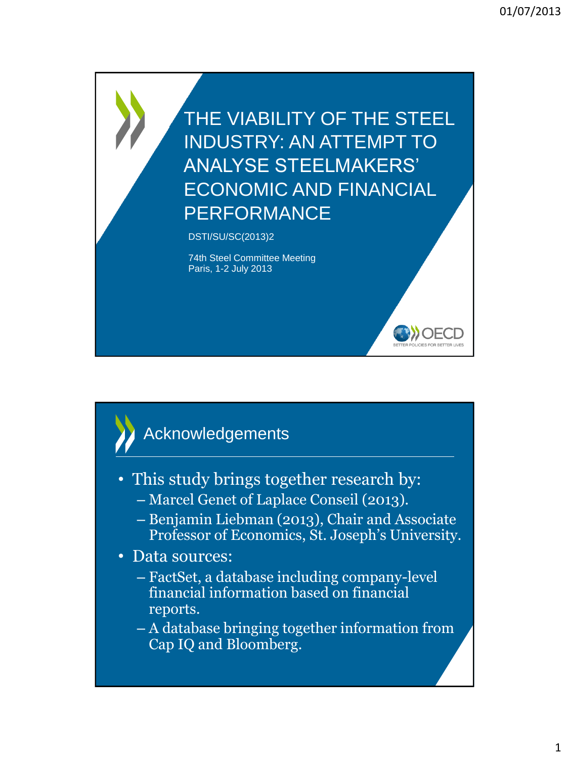THE VIABILITY OF THE STEEL INDUSTRY: AN ATTEMPT TO ANALYSE STEELMAKERS' ECONOMIC AND FINANCIAL PERFORMANCE

**DOECD** 

DSTI/SU/SC(2013)2

74th Steel Committee Meeting Paris, 1-2 July 2013

### Acknowledgements

- This study brings together research by:
	- Marcel Genet of Laplace Conseil (2013).
	- Benjamin Liebman (2013), Chair and Associate Professor of Economics, St. Joseph's University.

• Data sources:

- FactSet, a database including company-level financial information based on financial reports.
- A database bringing together information from Cap IQ and Bloomberg.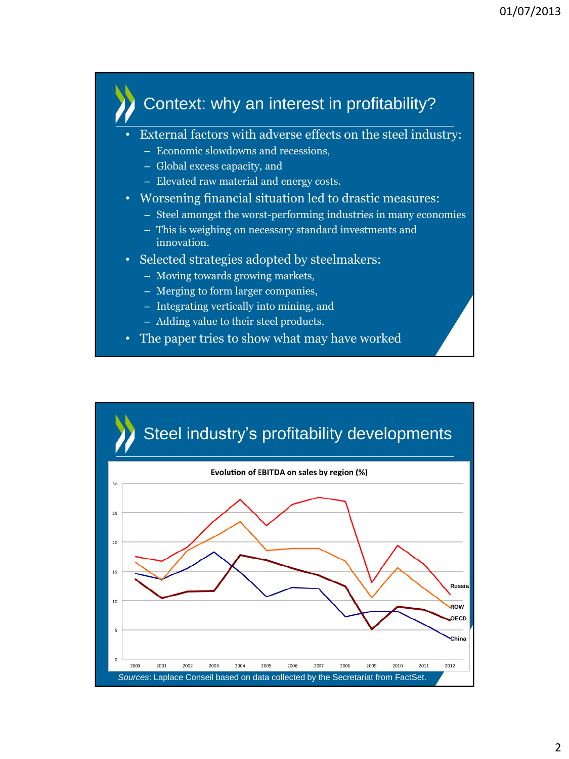#### Context: why an interest in profitability?

- External factors with adverse effects on the steel industry:
	- Economic slowdowns and recessions,
	- Global excess capacity, and
	- Elevated raw material and energy costs.
- Worsening financial situation led to drastic measures:
	- Steel amongst the worst-performing industries in many economies
	- This is weighing on necessary standard investments and innovation.
- Selected strategies adopted by steelmakers:
	- Moving towards growing markets,
	- Merging to form larger companies,
	- Integrating vertically into mining, and
	- Adding value to their steel products.
- The paper tries to show what may have worked

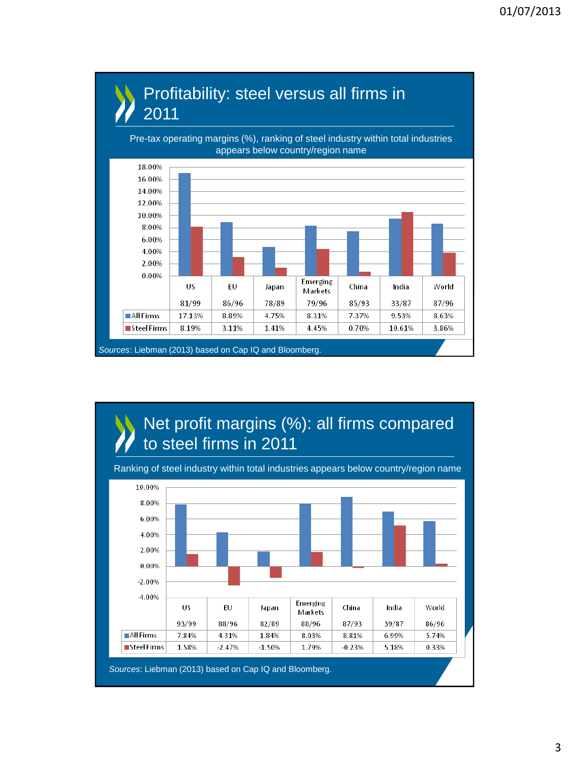

# Profitability: steel versus all firms in

Ranking of steel industry within total industries appears below country/region name

to steel firms in 2011

Net profit margins (%): all firms compared

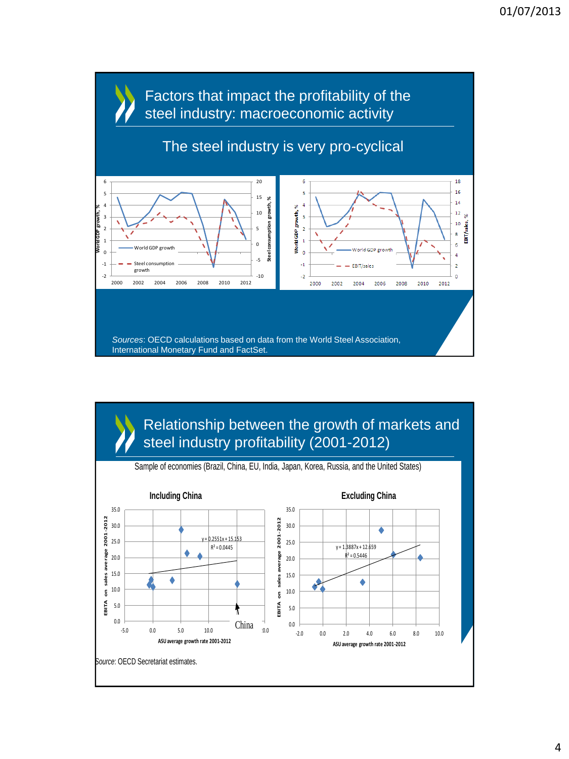

Relationship between the growth of markets and steel industry profitability (2001-2012)

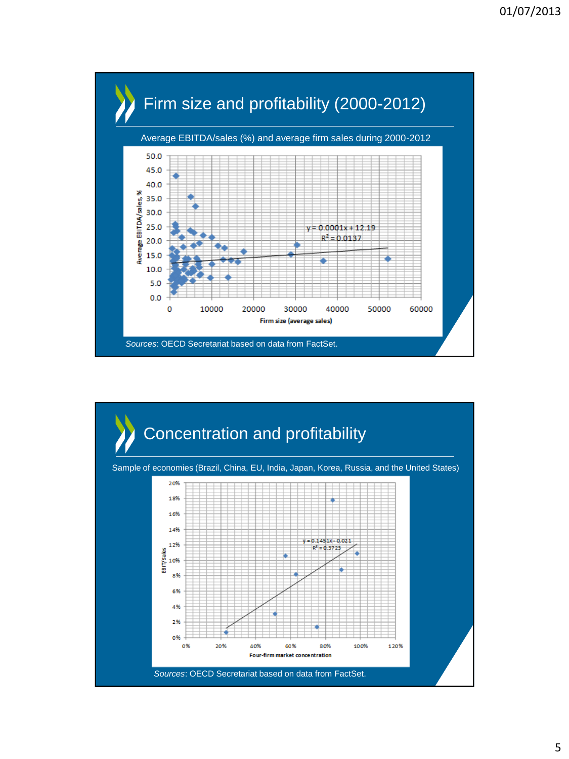

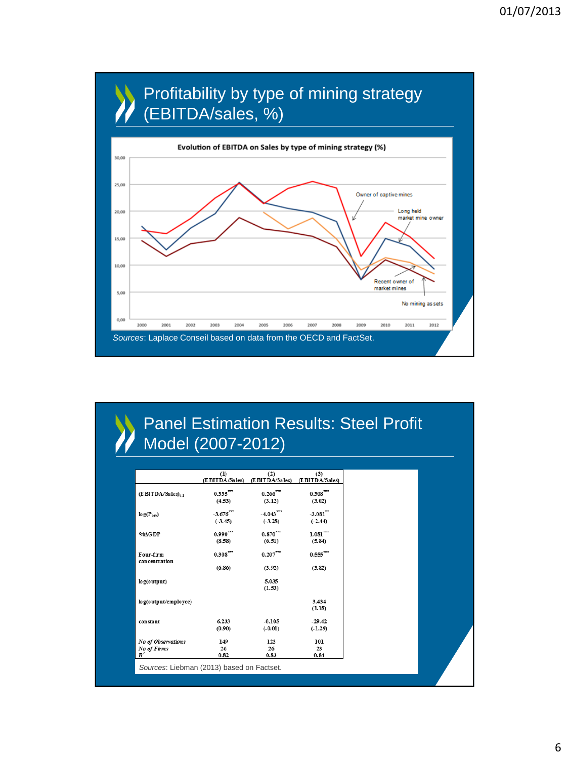

#### Panel Estimation Results: Steel Profit Model (2007-2012)

|                                  | (1)<br>(E BITDA/Sales) | (2)<br>(E BITDA/Sales)  | (3)<br>(E BITDA/Sales) |
|----------------------------------|------------------------|-------------------------|------------------------|
| $(E$ BITDA/Sales) <sub>t-1</sub> | 0.335'''               | $0.266$ <sup>277</sup>  | $0.308***$             |
|                                  | (4.53)                 | (3.12)                  | (3.02)                 |
| $\log(P_{\text{ore}})$           | $-3.676^{***}$         | $-4.043$ <sup>777</sup> | $-3.081$ <sup>77</sup> |
|                                  | $(-3.45)$              | $(-3.28)$               | $(-2.44)$              |
| $9/6\Delta GDP$                  | $0.990^{***}$          | $0.870'''$              | $1.081'''$             |
|                                  | (8.58)                 | (6.51)                  | (5.84)                 |
| Four-firm<br>concentration       | $0.308^{***}$          | $0.207^{***}$           | $0.555***$             |
|                                  | (6.86)                 | (3.92)                  | (3.82)                 |
| log(output)                      |                        | 5.035                   |                        |
|                                  |                        | (1.53)                  |                        |
| log(output/employee)             |                        |                         | 3.434                  |
|                                  |                        |                         | (1.18)                 |
| constant                         | 6.233                  | $-0.105$                | $-29.42$               |
|                                  | (0.90)                 | $(-0.01)$               | $(-1.29)$              |
| No of Observations               | 149                    | 123                     | 101                    |
| No of Firms                      | 26                     | 26                      | 23                     |
| $R^2$                            | 0.82                   | 0.83                    | 0.84                   |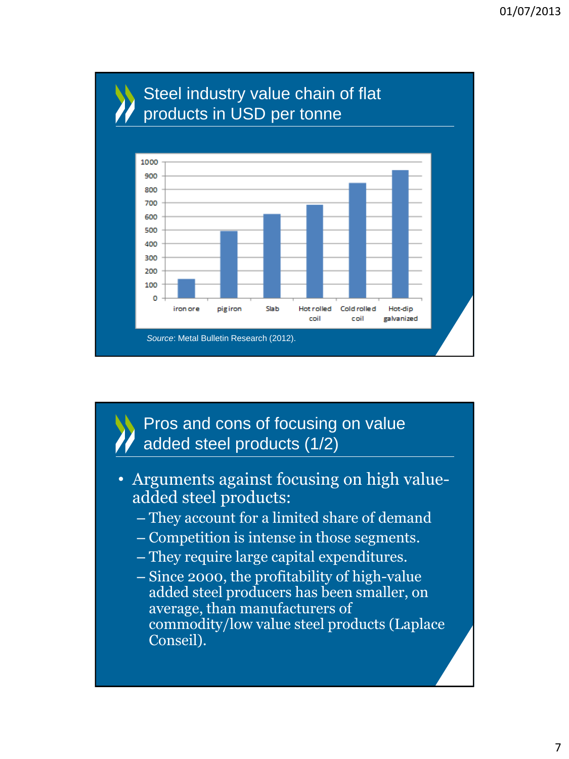

Pros and cons of focusing on value added steel products (1/2)

- Arguments against focusing on high valueadded steel products:
	- They account for a limited share of demand
	- Competition is intense in those segments.
	- They require large capital expenditures.
	- Since 2000, the profitability of high-value added steel producers has been smaller, on average, than manufacturers of commodity/low value steel products (Laplace Conseil).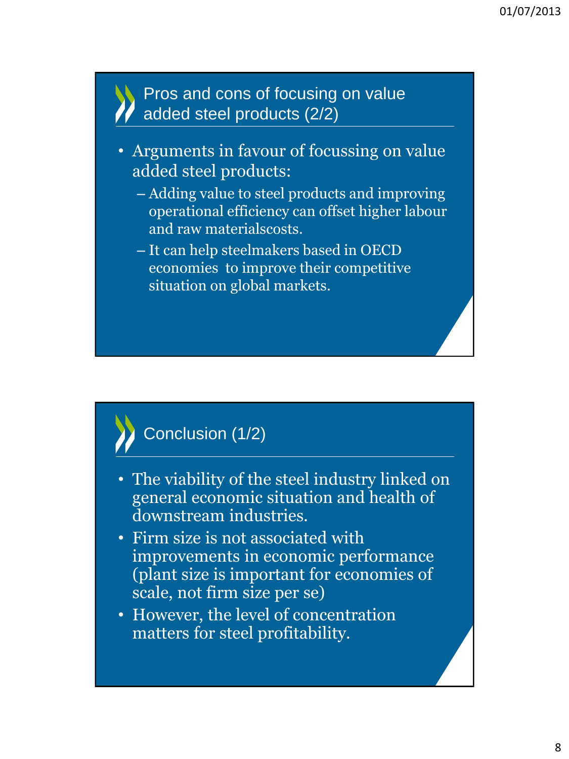#### Pros and cons of focusing on value added steel products (2/2)

- Arguments in favour of focussing on value added steel products:
	- Adding value to steel products and improving operational efficiency can offset higher labour and raw materialscosts.
	- It can help steelmakers based in OECD economies to improve their competitive situation on global markets.

## Conclusion (1/2)

- The viability of the steel industry linked on general economic situation and health of downstream industries.
- Firm size is not associated with improvements in economic performance (plant size is important for economies of scale, not firm size per se)
- However, the level of concentration matters for steel profitability.